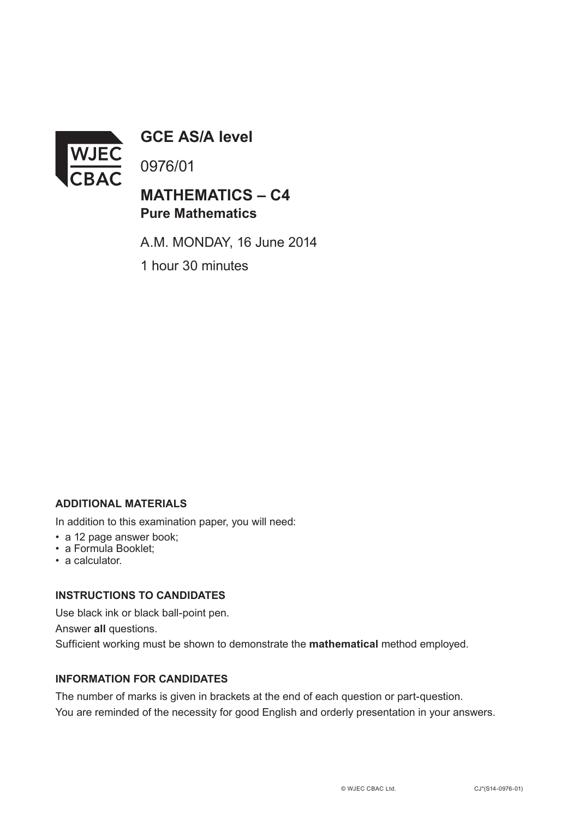

**GCE AS/A level**

0976/01

## **MATHEMATICS – C4 Pure Mathematics**

A.M. MONDAY, 16 June 2014 1 hour 30 minutes

#### **ADDITIONAL MATERIALS**

In addition to this examination paper, you will need:

- a 12 page answer book;
- a Formula Booklet;
- a calculator.

#### **INSTRUCTIONS TO CANDIDATES**

Use black ink or black ball-point pen. Answer **all** questions. Sufficient working must be shown to demonstrate the **mathematical** method employed.

### **INFORMATION FOR CANDIDATES**

The number of marks is given in brackets at the end of each question or part-question. You are reminded of the necessity for good English and orderly presentation in your answers.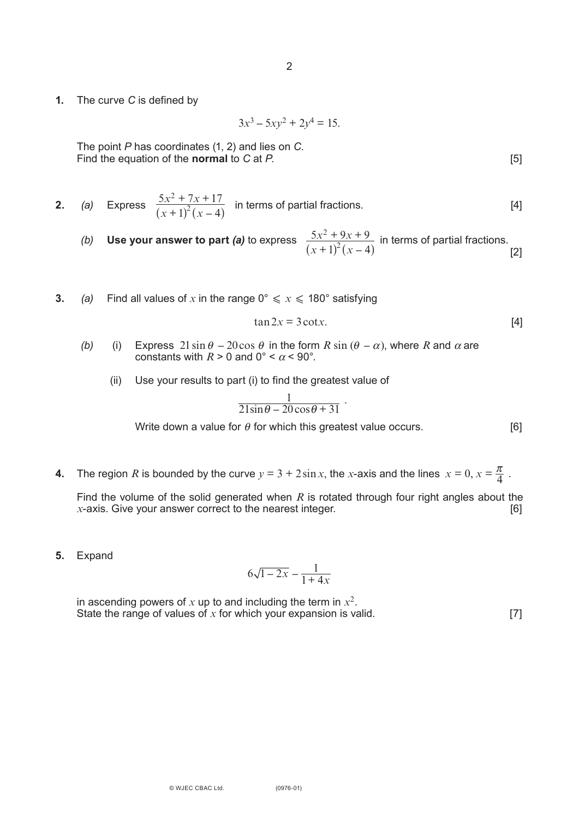**1.** The curve *C* is defined by

 $3x^3 - 5xy^2 + 2y^4 = 15$ .

The point *P* has coordinates (1, 2) and lies on *C*. Find the equation of the **normal** to *C* at *P*. [5]

**2.** (a) Express 
$$
\frac{5x^2 + 7x + 17}{(x+1)^2(x-4)}
$$
 in terms of partial fractions. [4]

- *(b)* Use your answer to part *(a)* to express  $\frac{5x^2 + 9x + 9}{(x-3)^2(x-4)}$  in terms of partial fractions. [2]  $1)^2(x-4$ 2 2  $x^2 + 9x$  $(x + 1)^2 (x)$  $+ 9x +$  $(x + 1)^2 (x - 4)$
- **3.** *(a)* Find all values of x in the range  $0^\circ \le x \le 180^\circ$  satisfying

$$
\tan 2x = 3\cot x. \tag{4}
$$

- *(b)* (i) Express  $21 \sin \theta 20 \cos \theta$  in the form  $R \sin (\theta \alpha)$ , where  $R$  and  $\alpha$  are constants with  $R > 0$  and  $0^{\circ} < \alpha < 90^{\circ}$ .
	- (ii) Use your results to part (i) to find the greatest value of

$$
\frac{1}{21\sin\theta - 20\cos\theta + 31}
$$
.

Write down a value for  $\theta$  for which this greatest value occurs. [6]

**4.** The region *R* is bounded by the curve  $y = 3 + 2\sin x$ , the *x*-axis and the lines  $x = 0$ ,  $x = \frac{\pi}{4}$ .

Find the volume of the solid generated when  $R$  is rotated through four right angles about the  $x$ -axis. Give your answer correct to the nearest integer. [6]  $x$ -axis. Give your answer correct to the nearest integer.

**5.** Expand

$$
6\sqrt{1-2x}-\frac{1}{1+4x}
$$

in ascending powers of  $x$  up to and including the term in  $x^2$ . State the range of values of  $x$  for which your expansion is valid.  $[7]$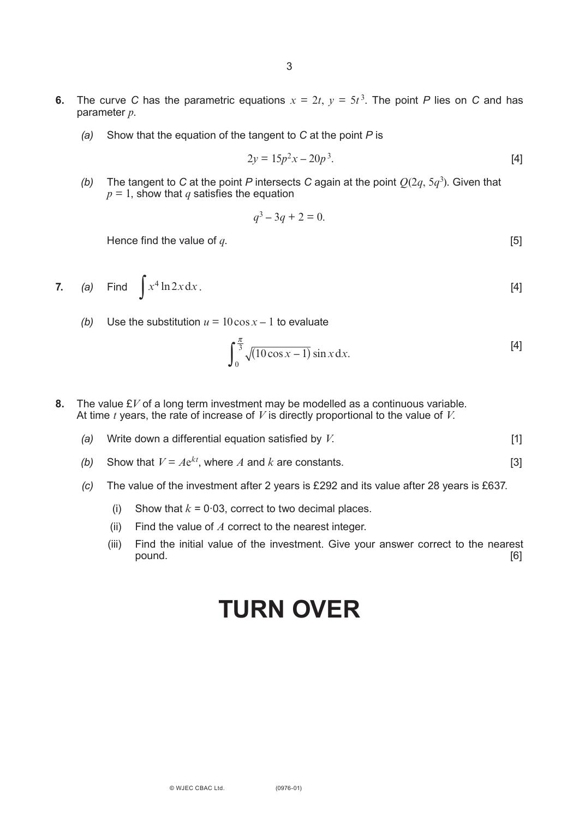- **6.** The curve *C* has the parametric equations  $x = 2t$ ,  $y = 5t^3$ . The point *P* lies on *C* and has parameter *p*.
	- *(a)* Show that the equation of the tangent to *C* at the point *P* is

$$
2y = 15p^2x - 20p^3.
$$
 [4]

*(b)* The tangent to *C* at the point *P* intersects *C* again at the point  $Q(2q, 5q^3)$ . Given that  $p = 1$ , show that *q* satisfies the equation

$$
q^3 - 3q + 2 = 0.
$$

Hence find the value of  $q$ . [5]

7. (a) Find 
$$
\int x^4 \ln 2x dx
$$
. [4]

*(b)* Use the substitution  $u = 10 \cos x - 1$  to evaluate

$$
\int_0^{\frac{\pi}{3}} \sqrt{(10\cos x - 1)} \sin x \, dx.
$$
 [4]

- **8.** The value £*V* of a long term investment may be modelled as a continuous variable. At time *t* years, the rate of increase of *V* is directly proportional to the value of *V*.
	- *(a)* Write down a differential equation satisfied by *V*. [1]
	- *(b)* Show that  $V = Ae^{kt}$ , where *A* and *k* are constants. [3]
	- *(c)* The value of the investment after 2 years is £292 and its value after 28 years is £637.
		- (i) Show that  $k = 0.03$ , correct to two decimal places.
		- (ii) Find the value of *A* correct to the nearest integer.
		- (iii) Find the initial value of the investment. Give your answer correct to the nearest pound. [6]

# **TURN OVER**